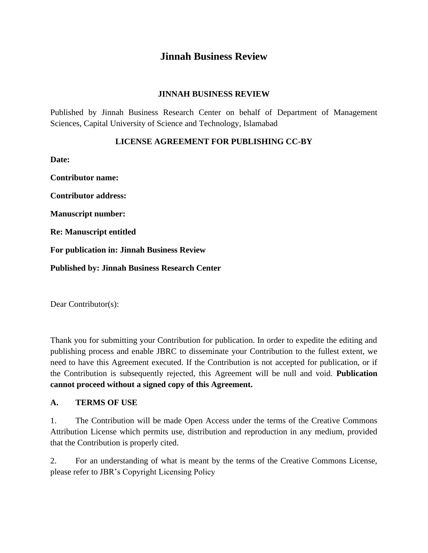# **Jinnah Business Review**

#### **JINNAH BUSINESS REVIEW**

Published by Jinnah Business Research Center on behalf of Department of Management Sciences, Capital University of Science and Technology, Islamabad

### **LICENSE AGREEMENT FOR PUBLISHING CC-BY**

**Date:**

**Contributor name: Contributor address: Manuscript number: Re: Manuscript entitled For publication in: Jinnah Business Review Published by: Jinnah Business Research Center**

Dear Contributor(s):

Thank you for submitting your Contribution for publication. In order to expedite the editing and publishing process and enable JBRC to disseminate your Contribution to the fullest extent, we need to have this Agreement executed. If the Contribution is not accepted for publication, or if the Contribution is subsequently rejected, this Agreement will be null and void. **Publication cannot proceed without a signed copy of this Agreement.**

#### **A. TERMS OF USE**

1. The Contribution will be made Open Access under the terms of the Creative Commons Attribution License which permits use, distribution and reproduction in any medium, provided that the Contribution is properly cited.

2. For an understanding of what is meant by the terms of the Creative Commons License, please refer to JBR's Copyright Licensing Policy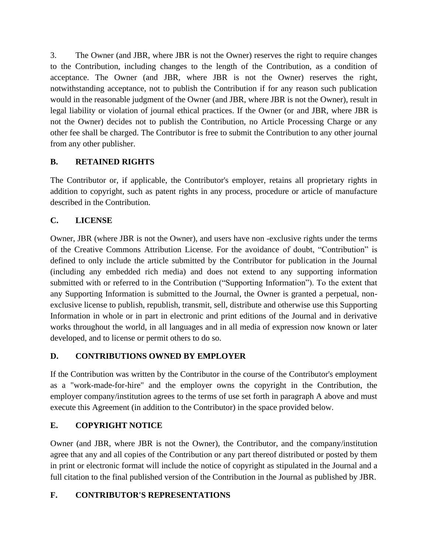3. The Owner (and JBR, where JBR is not the Owner) reserves the right to require changes to the Contribution, including changes to the length of the Contribution, as a condition of acceptance. The Owner (and JBR, where JBR is not the Owner) reserves the right, notwithstanding acceptance, not to publish the Contribution if for any reason such publication would in the reasonable judgment of the Owner (and JBR, where JBR is not the Owner), result in legal liability or violation of journal ethical practices. If the Owner (or and JBR, where JBR is not the Owner) decides not to publish the Contribution, no Article Processing Charge or any other fee shall be charged. The Contributor is free to submit the Contribution to any other journal from any other publisher.

### **B. RETAINED RIGHTS**

The Contributor or, if applicable, the Contributor's employer, retains all proprietary rights in addition to copyright, such as patent rights in any process, procedure or article of manufacture described in the Contribution.

### **C. LICENSE**

Owner, JBR (where JBR is not the Owner), and users have non -exclusive rights under the terms of the Creative Commons Attribution License. For the avoidance of doubt, "Contribution" is defined to only include the article submitted by the Contributor for publication in the Journal (including any embedded rich media) and does not extend to any supporting information submitted with or referred to in the Contribution ("Supporting Information"). To the extent that any Supporting Information is submitted to the Journal, the Owner is granted a perpetual, nonexclusive license to publish, republish, transmit, sell, distribute and otherwise use this Supporting Information in whole or in part in electronic and print editions of the Journal and in derivative works throughout the world, in all languages and in all media of expression now known or later developed, and to license or permit others to do so.

### **D. CONTRIBUTIONS OWNED BY EMPLOYER**

If the Contribution was written by the Contributor in the course of the Contributor's employment as a "work-made-for-hire" and the employer owns the copyright in the Contribution, the employer company/institution agrees to the terms of use set forth in paragraph A above and must execute this Agreement (in addition to the Contributor) in the space provided below.

### **E. COPYRIGHT NOTICE**

Owner (and JBR, where JBR is not the Owner), the Contributor, and the company/institution agree that any and all copies of the Contribution or any part thereof distributed or posted by them in print or electronic format will include the notice of copyright as stipulated in the Journal and a full citation to the final published version of the Contribution in the Journal as published by JBR.

### **F. CONTRIBUTOR'S REPRESENTATIONS**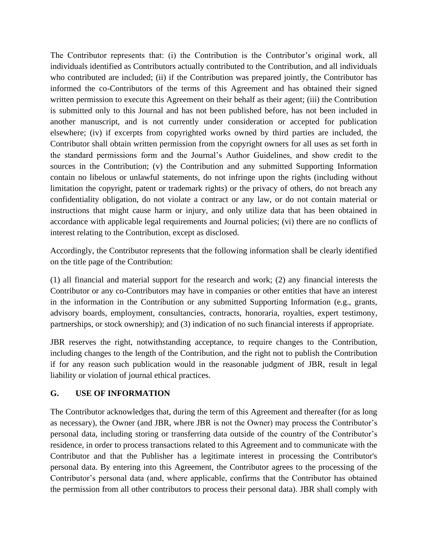The Contributor represents that: (i) the Contribution is the Contributor's original work, all individuals identified as Contributors actually contributed to the Contribution, and all individuals who contributed are included; (ii) if the Contribution was prepared jointly, the Contributor has informed the co-Contributors of the terms of this Agreement and has obtained their signed written permission to execute this Agreement on their behalf as their agent; (iii) the Contribution is submitted only to this Journal and has not been published before, has not been included in another manuscript, and is not currently under consideration or accepted for publication elsewhere; (iv) if excerpts from copyrighted works owned by third parties are included, the Contributor shall obtain written permission from the copyright owners for all uses as set forth in the standard permissions form and the Journal's Author Guidelines, and show credit to the sources in the Contribution; (v) the Contribution and any submitted Supporting Information contain no libelous or unlawful statements, do not infringe upon the rights (including without limitation the copyright, patent or trademark rights) or the privacy of others, do not breach any confidentiality obligation, do not violate a contract or any law, or do not contain material or instructions that might cause harm or injury, and only utilize data that has been obtained in accordance with applicable legal requirements and Journal policies; (vi) there are no conflicts of interest relating to the Contribution, except as disclosed.

Accordingly, the Contributor represents that the following information shall be clearly identified on the title page of the Contribution:

(1) all financial and material support for the research and work; (2) any financial interests the Contributor or any co-Contributors may have in companies or other entities that have an interest in the information in the Contribution or any submitted Supporting Information (e.g., grants, advisory boards, employment, consultancies, contracts, honoraria, royalties, expert testimony, partnerships, or stock ownership); and (3) indication of no such financial interests if appropriate.

JBR reserves the right, notwithstanding acceptance, to require changes to the Contribution, including changes to the length of the Contribution, and the right not to publish the Contribution if for any reason such publication would in the reasonable judgment of JBR, result in legal liability or violation of journal ethical practices.

#### **G. USE OF INFORMATION**

The Contributor acknowledges that, during the term of this Agreement and thereafter (for as long as necessary), the Owner (and JBR, where JBR is not the Owner) may process the Contributor's personal data, including storing or transferring data outside of the country of the Contributor's residence, in order to process transactions related to this Agreement and to communicate with the Contributor and that the Publisher has a legitimate interest in processing the Contributor's personal data. By entering into this Agreement, the Contributor agrees to the processing of the Contributor's personal data (and, where applicable, confirms that the Contributor has obtained the permission from all other contributors to process their personal data). JBR shall comply with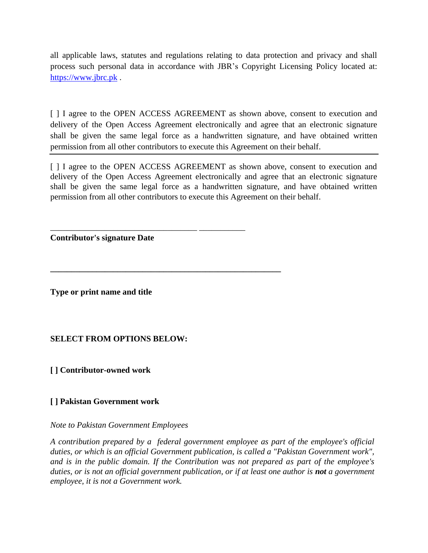all applicable laws, statutes and regulations relating to data protection and privacy and shall process such personal data in accordance with JBR's Copyright Licensing Policy located at: [https://www.jbrc.pk](https://www.jbrc.pk/) .

[ ] I agree to the OPEN ACCESS AGREEMENT as shown above, consent to execution and delivery of the Open Access Agreement electronically and agree that an electronic signature shall be given the same legal force as a handwritten signature, and have obtained written permission from all other contributors to execute this Agreement on their behalf.

[ ] I agree to the OPEN ACCESS AGREEMENT as shown above, consent to execution and delivery of the Open Access Agreement electronically and agree that an electronic signature shall be given the same legal force as a handwritten signature, and have obtained written permission from all other contributors to execute this Agreement on their behalf.

**Contributor's signature Date**

\_\_\_\_\_\_\_\_\_\_\_\_\_\_\_\_\_\_\_\_\_\_\_\_\_\_\_\_\_\_\_\_\_\_\_ \_\_\_\_\_\_\_\_\_\_\_

**\_\_\_\_\_\_\_\_\_\_\_\_\_\_\_\_\_\_\_\_\_\_\_\_\_\_\_\_\_\_\_\_\_\_\_\_\_\_\_\_\_\_\_\_\_\_\_\_\_\_\_\_\_\_\_**

**Type or print name and title**

#### **SELECT FROM OPTIONS BELOW:**

#### **[ ] Contributor-owned work**

#### **[ ] Pakistan Government work**

#### *Note to Pakistan Government Employees*

*A contribution prepared by a federal government employee as part of the employee's official duties, or which is an official Government publication, is called a "Pakistan Government work", and is in the public domain. If the Contribution was not prepared as part of the employee's duties, or is not an official government publication, or if at least one author is not a government employee, it is not a Government work.*